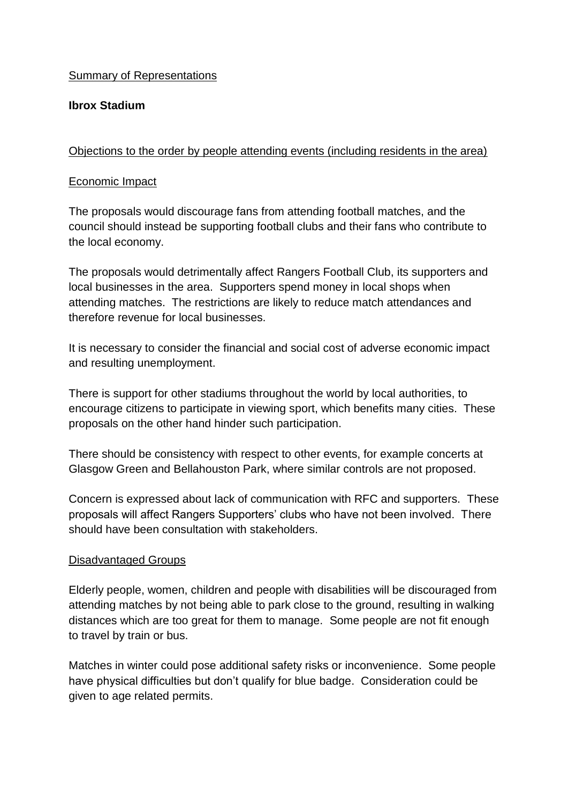# Summary of Representations

# **Ibrox Stadium**

# Objections to the order by people attending events (including residents in the area)

## Economic Impact

The proposals would discourage fans from attending football matches, and the council should instead be supporting football clubs and their fans who contribute to the local economy.

The proposals would detrimentally affect Rangers Football Club, its supporters and local businesses in the area. Supporters spend money in local shops when attending matches. The restrictions are likely to reduce match attendances and therefore revenue for local businesses.

It is necessary to consider the financial and social cost of adverse economic impact and resulting unemployment.

There is support for other stadiums throughout the world by local authorities, to encourage citizens to participate in viewing sport, which benefits many cities. These proposals on the other hand hinder such participation.

There should be consistency with respect to other events, for example concerts at Glasgow Green and Bellahouston Park, where similar controls are not proposed.

Concern is expressed about lack of communication with RFC and supporters. These proposals will affect Rangers Supporters' clubs who have not been involved. There should have been consultation with stakeholders.

## Disadvantaged Groups

Elderly people, women, children and people with disabilities will be discouraged from attending matches by not being able to park close to the ground, resulting in walking distances which are too great for them to manage. Some people are not fit enough to travel by train or bus.

Matches in winter could pose additional safety risks or inconvenience. Some people have physical difficulties but don't qualify for blue badge. Consideration could be given to age related permits.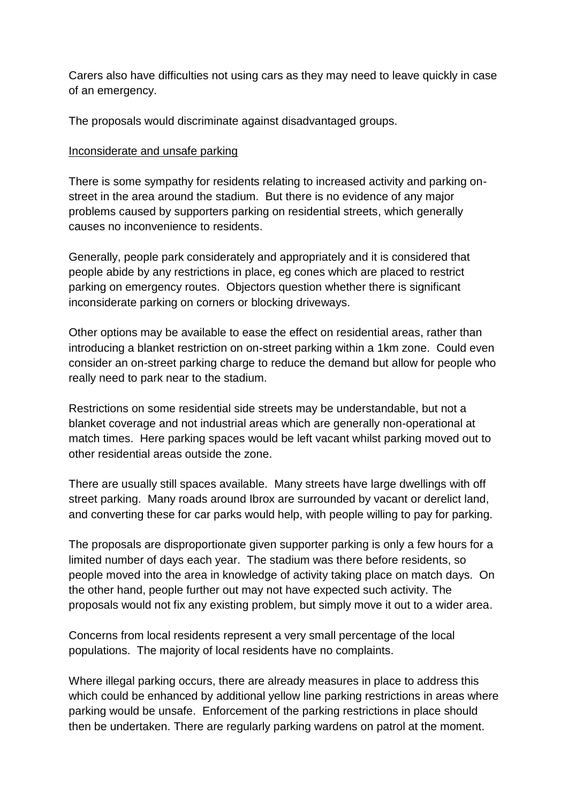Carers also have difficulties not using cars as they may need to leave quickly in case of an emergency.

The proposals would discriminate against disadvantaged groups.

#### Inconsiderate and unsafe parking

There is some sympathy for residents relating to increased activity and parking onstreet in the area around the stadium. But there is no evidence of any major problems caused by supporters parking on residential streets, which generally causes no inconvenience to residents.

Generally, people park considerately and appropriately and it is considered that people abide by any restrictions in place, eg cones which are placed to restrict parking on emergency routes. Objectors question whether there is significant inconsiderate parking on corners or blocking driveways.

Other options may be available to ease the effect on residential areas, rather than introducing a blanket restriction on on-street parking within a 1km zone. Could even consider an on-street parking charge to reduce the demand but allow for people who really need to park near to the stadium.

Restrictions on some residential side streets may be understandable, but not a blanket coverage and not industrial areas which are generally non-operational at match times. Here parking spaces would be left vacant whilst parking moved out to other residential areas outside the zone.

There are usually still spaces available. Many streets have large dwellings with off street parking. Many roads around Ibrox are surrounded by vacant or derelict land, and converting these for car parks would help, with people willing to pay for parking.

The proposals are disproportionate given supporter parking is only a few hours for a limited number of days each year. The stadium was there before residents, so people moved into the area in knowledge of activity taking place on match days. On the other hand, people further out may not have expected such activity. The proposals would not fix any existing problem, but simply move it out to a wider area.

Concerns from local residents represent a very small percentage of the local populations. The majority of local residents have no complaints.

Where illegal parking occurs, there are already measures in place to address this which could be enhanced by additional yellow line parking restrictions in areas where parking would be unsafe. Enforcement of the parking restrictions in place should then be undertaken. There are regularly parking wardens on patrol at the moment.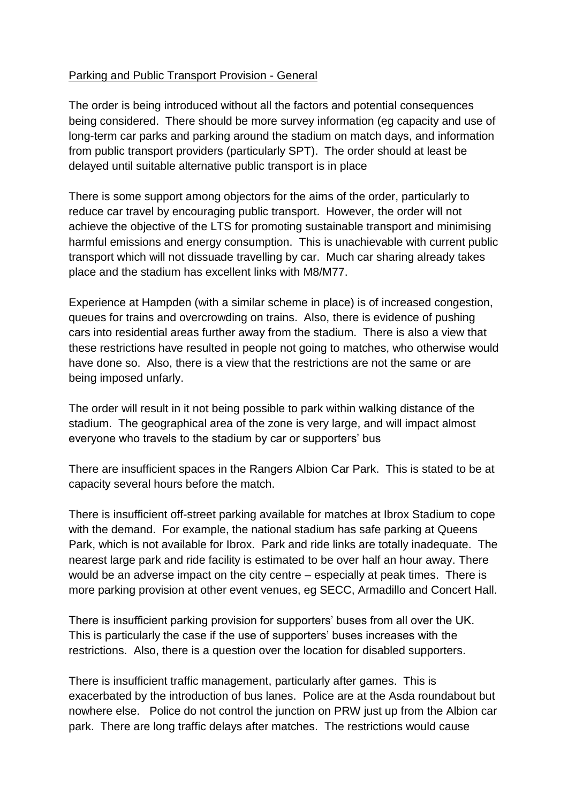# Parking and Public Transport Provision - General

The order is being introduced without all the factors and potential consequences being considered. There should be more survey information (eg capacity and use of long-term car parks and parking around the stadium on match days, and information from public transport providers (particularly SPT). The order should at least be delayed until suitable alternative public transport is in place

There is some support among objectors for the aims of the order, particularly to reduce car travel by encouraging public transport. However, the order will not achieve the objective of the LTS for promoting sustainable transport and minimising harmful emissions and energy consumption. This is unachievable with current public transport which will not dissuade travelling by car. Much car sharing already takes place and the stadium has excellent links with M8/M77.

Experience at Hampden (with a similar scheme in place) is of increased congestion, queues for trains and overcrowding on trains. Also, there is evidence of pushing cars into residential areas further away from the stadium. There is also a view that these restrictions have resulted in people not going to matches, who otherwise would have done so. Also, there is a view that the restrictions are not the same or are being imposed unfarly.

The order will result in it not being possible to park within walking distance of the stadium. The geographical area of the zone is very large, and will impact almost everyone who travels to the stadium by car or supporters' bus

There are insufficient spaces in the Rangers Albion Car Park. This is stated to be at capacity several hours before the match.

There is insufficient off-street parking available for matches at Ibrox Stadium to cope with the demand. For example, the national stadium has safe parking at Queens Park, which is not available for Ibrox. Park and ride links are totally inadequate. The nearest large park and ride facility is estimated to be over half an hour away. There would be an adverse impact on the city centre – especially at peak times. There is more parking provision at other event venues, eg SECC, Armadillo and Concert Hall.

There is insufficient parking provision for supporters' buses from all over the UK. This is particularly the case if the use of supporters' buses increases with the restrictions. Also, there is a question over the location for disabled supporters.

There is insufficient traffic management, particularly after games. This is exacerbated by the introduction of bus lanes. Police are at the Asda roundabout but nowhere else. Police do not control the junction on PRW just up from the Albion car park. There are long traffic delays after matches. The restrictions would cause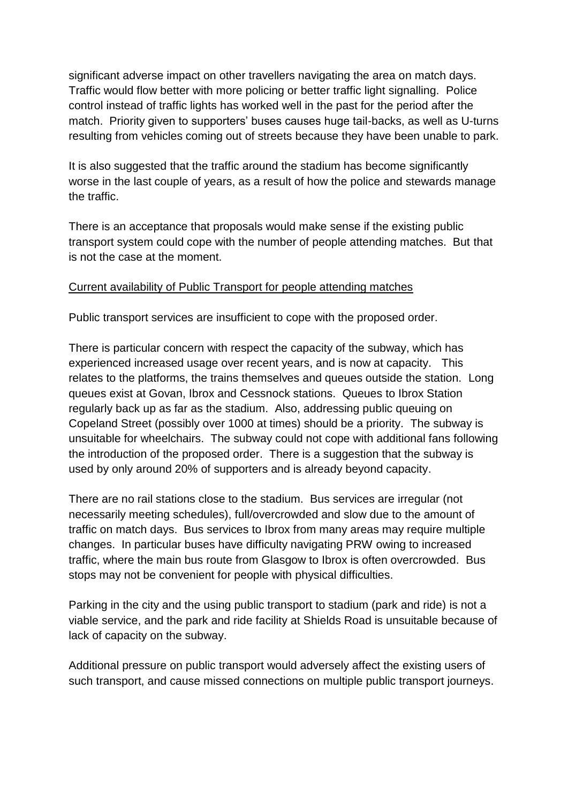significant adverse impact on other travellers navigating the area on match days. Traffic would flow better with more policing or better traffic light signalling. Police control instead of traffic lights has worked well in the past for the period after the match. Priority given to supporters' buses causes huge tail-backs, as well as U-turns resulting from vehicles coming out of streets because they have been unable to park.

It is also suggested that the traffic around the stadium has become significantly worse in the last couple of years, as a result of how the police and stewards manage the traffic.

There is an acceptance that proposals would make sense if the existing public transport system could cope with the number of people attending matches. But that is not the case at the moment.

## Current availability of Public Transport for people attending matches

Public transport services are insufficient to cope with the proposed order.

There is particular concern with respect the capacity of the subway, which has experienced increased usage over recent years, and is now at capacity. This relates to the platforms, the trains themselves and queues outside the station. Long queues exist at Govan, Ibrox and Cessnock stations. Queues to Ibrox Station regularly back up as far as the stadium. Also, addressing public queuing on Copeland Street (possibly over 1000 at times) should be a priority. The subway is unsuitable for wheelchairs. The subway could not cope with additional fans following the introduction of the proposed order. There is a suggestion that the subway is used by only around 20% of supporters and is already beyond capacity.

There are no rail stations close to the stadium. Bus services are irregular (not necessarily meeting schedules), full/overcrowded and slow due to the amount of traffic on match days. Bus services to Ibrox from many areas may require multiple changes. In particular buses have difficulty navigating PRW owing to increased traffic, where the main bus route from Glasgow to Ibrox is often overcrowded. Bus stops may not be convenient for people with physical difficulties.

Parking in the city and the using public transport to stadium (park and ride) is not a viable service, and the park and ride facility at Shields Road is unsuitable because of lack of capacity on the subway.

Additional pressure on public transport would adversely affect the existing users of such transport, and cause missed connections on multiple public transport journeys.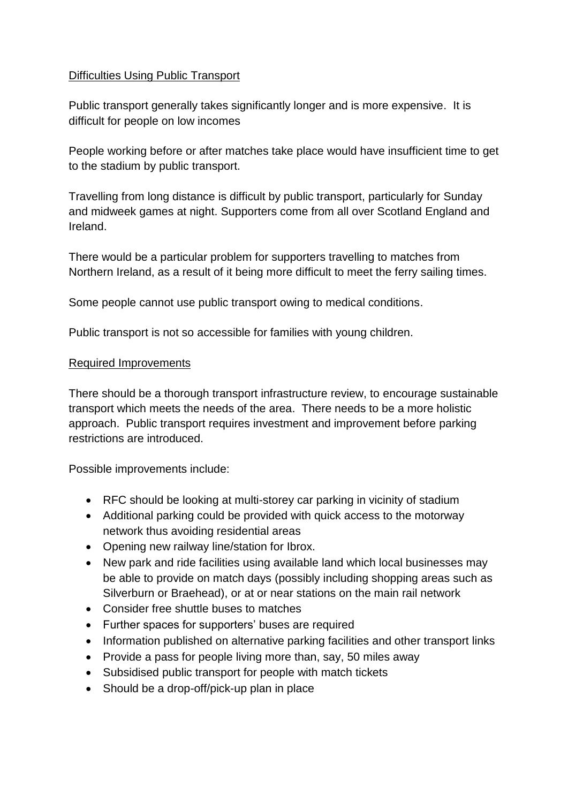## Difficulties Using Public Transport

Public transport generally takes significantly longer and is more expensive. It is difficult for people on low incomes

People working before or after matches take place would have insufficient time to get to the stadium by public transport.

Travelling from long distance is difficult by public transport, particularly for Sunday and midweek games at night. Supporters come from all over Scotland England and Ireland.

There would be a particular problem for supporters travelling to matches from Northern Ireland, as a result of it being more difficult to meet the ferry sailing times.

Some people cannot use public transport owing to medical conditions.

Public transport is not so accessible for families with young children.

## Required Improvements

There should be a thorough transport infrastructure review, to encourage sustainable transport which meets the needs of the area. There needs to be a more holistic approach. Public transport requires investment and improvement before parking restrictions are introduced.

Possible improvements include:

- RFC should be looking at multi-storey car parking in vicinity of stadium
- Additional parking could be provided with quick access to the motorway network thus avoiding residential areas
- Opening new railway line/station for Ibrox.
- New park and ride facilities using available land which local businesses may be able to provide on match days (possibly including shopping areas such as Silverburn or Braehead), or at or near stations on the main rail network
- Consider free shuttle buses to matches
- Further spaces for supporters' buses are required
- Information published on alternative parking facilities and other transport links
- Provide a pass for people living more than, say, 50 miles away
- Subsidised public transport for people with match tickets
- Should be a drop-off/pick-up plan in place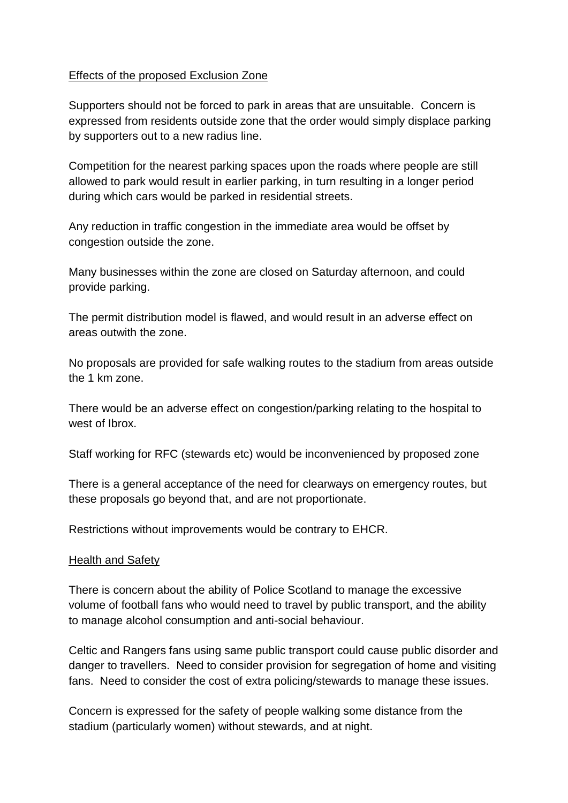## Effects of the proposed Exclusion Zone

Supporters should not be forced to park in areas that are unsuitable. Concern is expressed from residents outside zone that the order would simply displace parking by supporters out to a new radius line.

Competition for the nearest parking spaces upon the roads where people are still allowed to park would result in earlier parking, in turn resulting in a longer period during which cars would be parked in residential streets.

Any reduction in traffic congestion in the immediate area would be offset by congestion outside the zone.

Many businesses within the zone are closed on Saturday afternoon, and could provide parking.

The permit distribution model is flawed, and would result in an adverse effect on areas outwith the zone.

No proposals are provided for safe walking routes to the stadium from areas outside the 1 km zone.

There would be an adverse effect on congestion/parking relating to the hospital to west of Ibrox.

Staff working for RFC (stewards etc) would be inconvenienced by proposed zone

There is a general acceptance of the need for clearways on emergency routes, but these proposals go beyond that, and are not proportionate.

Restrictions without improvements would be contrary to EHCR.

#### Health and Safety

There is concern about the ability of Police Scotland to manage the excessive volume of football fans who would need to travel by public transport, and the ability to manage alcohol consumption and anti-social behaviour.

Celtic and Rangers fans using same public transport could cause public disorder and danger to travellers. Need to consider provision for segregation of home and visiting fans. Need to consider the cost of extra policing/stewards to manage these issues.

Concern is expressed for the safety of people walking some distance from the stadium (particularly women) without stewards, and at night.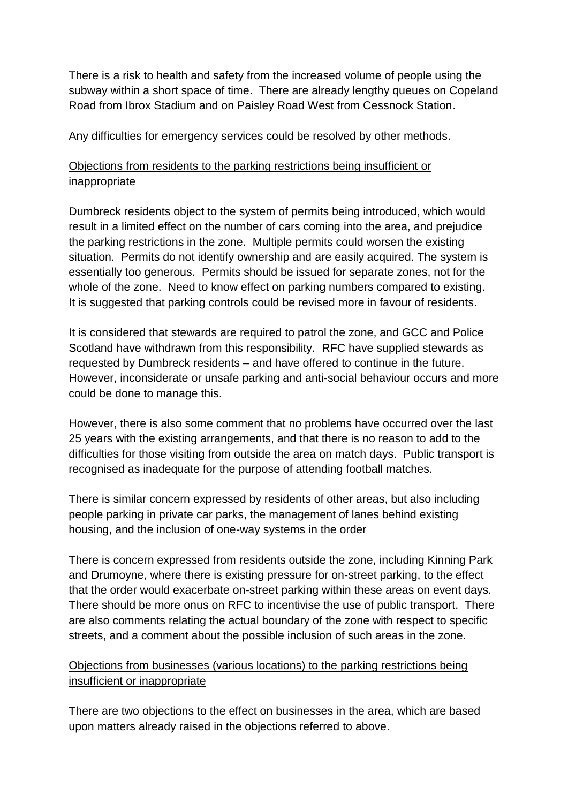There is a risk to health and safety from the increased volume of people using the subway within a short space of time. There are already lengthy queues on Copeland Road from Ibrox Stadium and on Paisley Road West from Cessnock Station.

Any difficulties for emergency services could be resolved by other methods.

# Objections from residents to the parking restrictions being insufficient or inappropriate

Dumbreck residents object to the system of permits being introduced, which would result in a limited effect on the number of cars coming into the area, and prejudice the parking restrictions in the zone. Multiple permits could worsen the existing situation. Permits do not identify ownership and are easily acquired. The system is essentially too generous. Permits should be issued for separate zones, not for the whole of the zone. Need to know effect on parking numbers compared to existing. It is suggested that parking controls could be revised more in favour of residents.

It is considered that stewards are required to patrol the zone, and GCC and Police Scotland have withdrawn from this responsibility. RFC have supplied stewards as requested by Dumbreck residents – and have offered to continue in the future. However, inconsiderate or unsafe parking and anti-social behaviour occurs and more could be done to manage this.

However, there is also some comment that no problems have occurred over the last 25 years with the existing arrangements, and that there is no reason to add to the difficulties for those visiting from outside the area on match days. Public transport is recognised as inadequate for the purpose of attending football matches.

There is similar concern expressed by residents of other areas, but also including people parking in private car parks, the management of lanes behind existing housing, and the inclusion of one-way systems in the order

There is concern expressed from residents outside the zone, including Kinning Park and Drumoyne, where there is existing pressure for on-street parking, to the effect that the order would exacerbate on-street parking within these areas on event days. There should be more onus on RFC to incentivise the use of public transport. There are also comments relating the actual boundary of the zone with respect to specific streets, and a comment about the possible inclusion of such areas in the zone.

# Objections from businesses (various locations) to the parking restrictions being insufficient or inappropriate

There are two objections to the effect on businesses in the area, which are based upon matters already raised in the objections referred to above.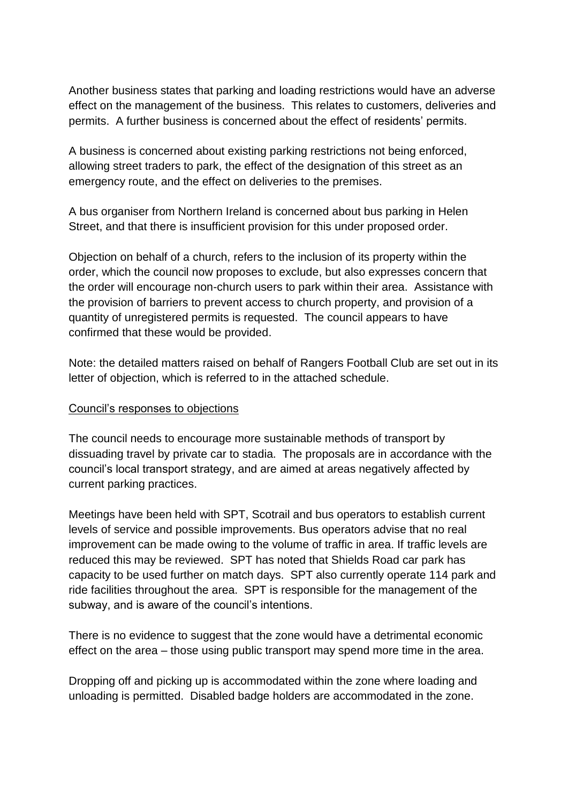Another business states that parking and loading restrictions would have an adverse effect on the management of the business. This relates to customers, deliveries and permits. A further business is concerned about the effect of residents' permits.

A business is concerned about existing parking restrictions not being enforced, allowing street traders to park, the effect of the designation of this street as an emergency route, and the effect on deliveries to the premises.

A bus organiser from Northern Ireland is concerned about bus parking in Helen Street, and that there is insufficient provision for this under proposed order.

Objection on behalf of a church, refers to the inclusion of its property within the order, which the council now proposes to exclude, but also expresses concern that the order will encourage non-church users to park within their area. Assistance with the provision of barriers to prevent access to church property, and provision of a quantity of unregistered permits is requested. The council appears to have confirmed that these would be provided.

Note: the detailed matters raised on behalf of Rangers Football Club are set out in its letter of objection, which is referred to in the attached schedule.

#### Council's responses to objections

The council needs to encourage more sustainable methods of transport by dissuading travel by private car to stadia. The proposals are in accordance with the council's local transport strategy, and are aimed at areas negatively affected by current parking practices.

Meetings have been held with SPT, Scotrail and bus operators to establish current levels of service and possible improvements. Bus operators advise that no real improvement can be made owing to the volume of traffic in area. If traffic levels are reduced this may be reviewed. SPT has noted that Shields Road car park has capacity to be used further on match days. SPT also currently operate 114 park and ride facilities throughout the area. SPT is responsible for the management of the subway, and is aware of the council's intentions.

There is no evidence to suggest that the zone would have a detrimental economic effect on the area – those using public transport may spend more time in the area.

Dropping off and picking up is accommodated within the zone where loading and unloading is permitted. Disabled badge holders are accommodated in the zone.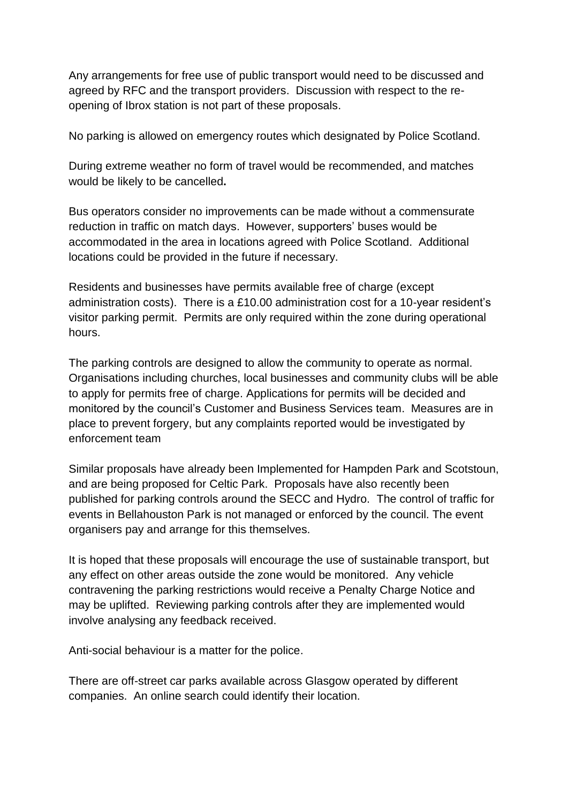Any arrangements for free use of public transport would need to be discussed and agreed by RFC and the transport providers. Discussion with respect to the reopening of Ibrox station is not part of these proposals.

No parking is allowed on emergency routes which designated by Police Scotland.

During extreme weather no form of travel would be recommended, and matches would be likely to be cancelled**.**

Bus operators consider no improvements can be made without a commensurate reduction in traffic on match days. However, supporters' buses would be accommodated in the area in locations agreed with Police Scotland. Additional locations could be provided in the future if necessary.

Residents and businesses have permits available free of charge (except administration costs). There is a £10.00 administration cost for a 10-year resident's visitor parking permit. Permits are only required within the zone during operational hours.

The parking controls are designed to allow the community to operate as normal. Organisations including churches, local businesses and community clubs will be able to apply for permits free of charge. Applications for permits will be decided and monitored by the council's Customer and Business Services team. Measures are in place to prevent forgery, but any complaints reported would be investigated by enforcement team

Similar proposals have already been Implemented for Hampden Park and Scotstoun, and are being proposed for Celtic Park. Proposals have also recently been published for parking controls around the SECC and Hydro. The control of traffic for events in Bellahouston Park is not managed or enforced by the council. The event organisers pay and arrange for this themselves.

It is hoped that these proposals will encourage the use of sustainable transport, but any effect on other areas outside the zone would be monitored. Any vehicle contravening the parking restrictions would receive a Penalty Charge Notice and may be uplifted. Reviewing parking controls after they are implemented would involve analysing any feedback received.

Anti-social behaviour is a matter for the police.

There are off-street car parks available across Glasgow operated by different companies. An online search could identify their location.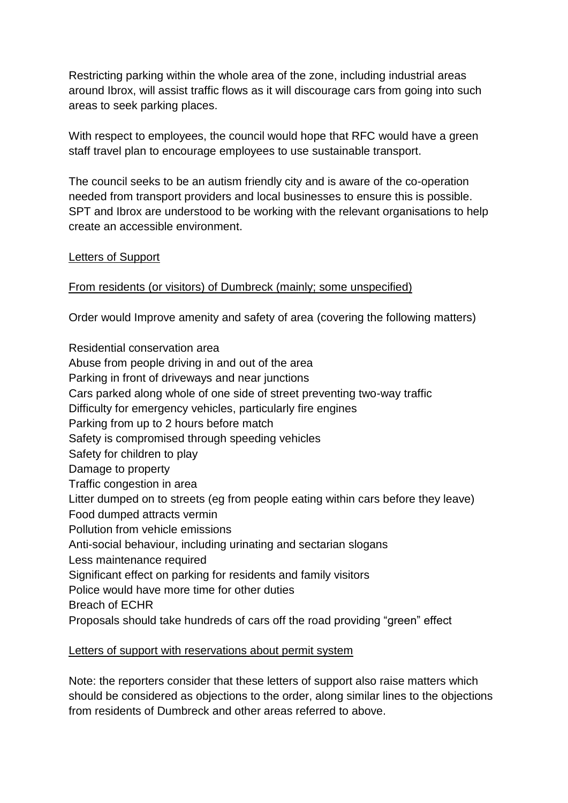Restricting parking within the whole area of the zone, including industrial areas around Ibrox, will assist traffic flows as it will discourage cars from going into such areas to seek parking places.

With respect to employees, the council would hope that RFC would have a green staff travel plan to encourage employees to use sustainable transport.

The council seeks to be an autism friendly city and is aware of the co-operation needed from transport providers and local businesses to ensure this is possible. SPT and Ibrox are understood to be working with the relevant organisations to help create an accessible environment.

## Letters of Support

## From residents (or visitors) of Dumbreck (mainly; some unspecified)

Order would Improve amenity and safety of area (covering the following matters)

Residential conservation area Abuse from people driving in and out of the area Parking in front of driveways and near junctions Cars parked along whole of one side of street preventing two-way traffic Difficulty for emergency vehicles, particularly fire engines Parking from up to 2 hours before match Safety is compromised through speeding vehicles Safety for children to play Damage to property Traffic congestion in area Litter dumped on to streets (eg from people eating within cars before they leave) Food dumped attracts vermin Pollution from vehicle emissions Anti-social behaviour, including urinating and sectarian slogans Less maintenance required Significant effect on parking for residents and family visitors Police would have more time for other duties Breach of ECHR Proposals should take hundreds of cars off the road providing "green" effect

## Letters of support with reservations about permit system

Note: the reporters consider that these letters of support also raise matters which should be considered as objections to the order, along similar lines to the objections from residents of Dumbreck and other areas referred to above.